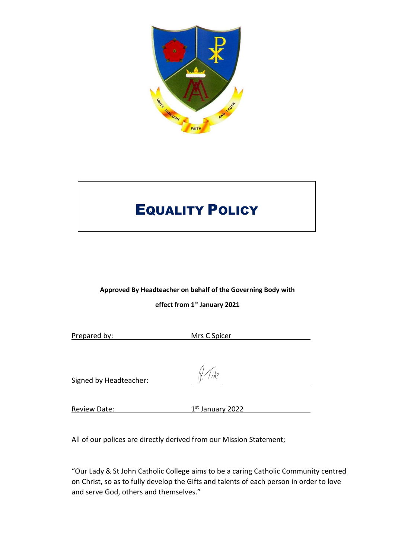

# EQUALITY POLICY

## **Approved By Headteacher on behalf of the Governing Body with effect from 1st January 2021**

| Prepared by:           | Mrs C Spicer       |  |
|------------------------|--------------------|--|
|                        |                    |  |
| Signed by Headteacher: | $N$ (ike           |  |
|                        |                    |  |
| <b>Review Date:</b>    | $1st$ January 2022 |  |

All of our polices are directly derived from our Mission Statement;

"Our Lady & St John Catholic College aims to be a caring Catholic Community centred on Christ, so as to fully develop the Gifts and talents of each person in order to love and serve God, others and themselves."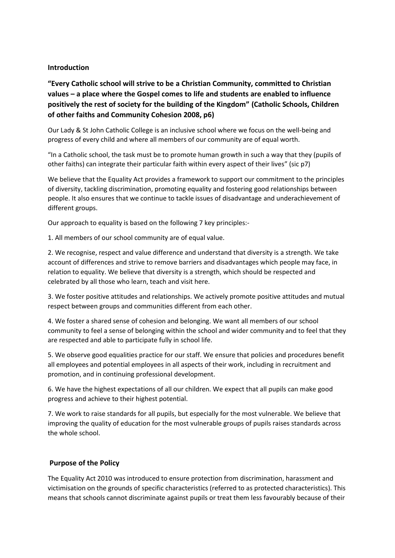## **Introduction**

**"Every Catholic school will strive to be a Christian Community, committed to Christian values – a place where the Gospel comes to life and students are enabled to influence positively the rest of society for the building of the Kingdom" (Catholic Schools, Children of other faiths and Community Cohesion 2008, p6)**

Our Lady & St John Catholic College is an inclusive school where we focus on the well-being and progress of every child and where all members of our community are of equal worth.

"In a Catholic school, the task must be to promote human growth in such a way that they (pupils of other faiths) can integrate their particular faith within every aspect of their lives" (sic p7)

We believe that the Equality Act provides a framework to support our commitment to the principles of diversity, tackling discrimination, promoting equality and fostering good relationships between people. It also ensures that we continue to tackle issues of disadvantage and underachievement of different groups.

Our approach to equality is based on the following 7 key principles:-

1. All members of our school community are of equal value.

2. We recognise, respect and value difference and understand that diversity is a strength. We take account of differences and strive to remove barriers and disadvantages which people may face, in relation to equality. We believe that diversity is a strength, which should be respected and celebrated by all those who learn, teach and visit here.

3. We foster positive attitudes and relationships. We actively promote positive attitudes and mutual respect between groups and communities different from each other.

4. We foster a shared sense of cohesion and belonging. We want all members of our school community to feel a sense of belonging within the school and wider community and to feel that they are respected and able to participate fully in school life.

5. We observe good equalities practice for our staff. We ensure that policies and procedures benefit all employees and potential employees in all aspects of their work, including in recruitment and promotion, and in continuing professional development.

6. We have the highest expectations of all our children. We expect that all pupils can make good progress and achieve to their highest potential.

7. We work to raise standards for all pupils, but especially for the most vulnerable. We believe that improving the quality of education for the most vulnerable groups of pupils raises standards across the whole school.

## **Purpose of the Policy**

The Equality Act 2010 was introduced to ensure protection from discrimination, harassment and victimisation on the grounds of specific characteristics (referred to as protected characteristics). This means that schools cannot discriminate against pupils or treat them less favourably because of their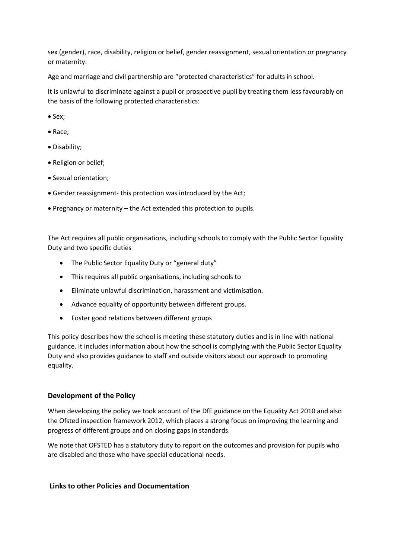sex (gender), race, disability, religion or belief, gender reassignment, sexual orientation or pregnancy or maternity.

Age and marriage and civil partnership are "protected characteristics" for adults in school.

It is unlawful to discriminate against a pupil or prospective pupil by treating them less favourably on the basis of the following protected characteristics:

- Sex:
- Race;
- Disability;
- Religion or belief;
- Sexual orientation;
- Gender reassignment- this protection was introduced by the Act;
- Pregnancy or maternity the Act extended this protection to pupils.

The Act requires all public organisations, including schools to comply with the Public Sector Equality Duty and two specific duties

- The Public Sector Equality Duty or "general duty"
- This requires all public organisations, including schools to
- Eliminate unlawful discrimination, harassment and victimisation.
- Advance equality of opportunity between different groups.
- Foster good relations between different groups

This policy describes how the school is meeting these statutory duties and is in line with national guidance. It includes information about how the school is complying with the Public Sector Equality Duty and also provides guidance to staff and outside visitors about our approach to promoting equality.

## **Development of the Policy**

When developing the policy we took account of the DfE guidance on the Equality Act 2010 and also the Ofsted inspection framework 2012, which places a strong focus on improving the learning and progress of different groups and on closing gaps in standards.

We note that OFSTED has a statutory duty to report on the outcomes and provision for pupils who are disabled and those who have special educational needs.

## **Links to other Policies and Documentation**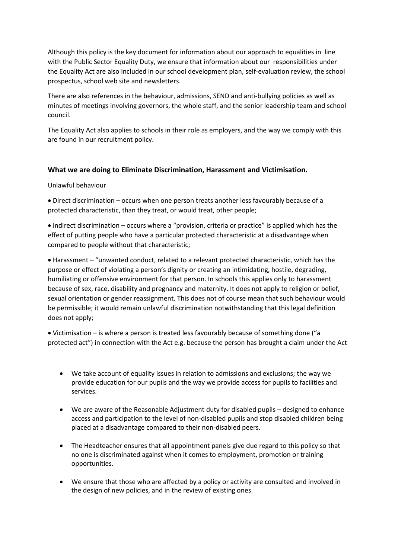Although this policy is the key document for information about our approach to equalities in line with the Public Sector Equality Duty, we ensure that information about our responsibilities under the Equality Act are also included in our school development plan, self-evaluation review, the school prospectus, school web site and newsletters.

There are also references in the behaviour, admissions, SEND and anti-bullying policies as well as minutes of meetings involving governors, the whole staff, and the senior leadership team and school council.

The Equality Act also applies to schools in their role as employers, and the way we comply with this are found in our recruitment policy.

## **What we are doing to Eliminate Discrimination, Harassment and Victimisation.**

## Unlawful behaviour

 Direct discrimination – occurs when one person treats another less favourably because of a protected characteristic, than they treat, or would treat, other people;

 Indirect discrimination – occurs where a "provision, criteria or practice" is applied which has the effect of putting people who have a particular protected characteristic at a disadvantage when compared to people without that characteristic;

 Harassment – "unwanted conduct, related to a relevant protected characteristic, which has the purpose or effect of violating a person's dignity or creating an intimidating, hostile, degrading, humiliating or offensive environment for that person. In schools this applies only to harassment because of sex, race, disability and pregnancy and maternity. It does not apply to religion or belief, sexual orientation or gender reassignment. This does not of course mean that such behaviour would be permissible; it would remain unlawful discrimination notwithstanding that this legal definition does not apply;

 Victimisation – is where a person is treated less favourably because of something done ("a protected act") in connection with the Act e.g. because the person has brought a claim under the Act

- We take account of equality issues in relation to admissions and exclusions; the way we provide education for our pupils and the way we provide access for pupils to facilities and services.
- We are aware of the Reasonable Adjustment duty for disabled pupils designed to enhance access and participation to the level of non-disabled pupils and stop disabled children being placed at a disadvantage compared to their non-disabled peers.
- The Headteacher ensures that all appointment panels give due regard to this policy so that no one is discriminated against when it comes to employment, promotion or training opportunities.
- We ensure that those who are affected by a policy or activity are consulted and involved in the design of new policies, and in the review of existing ones.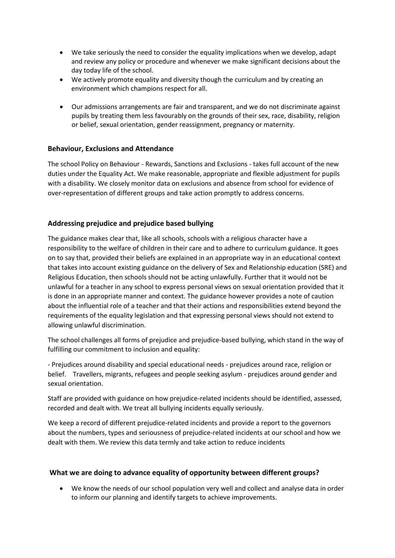- We take seriously the need to consider the equality implications when we develop, adapt and review any policy or procedure and whenever we make significant decisions about the day today life of the school.
- We actively promote equality and diversity though the curriculum and by creating an environment which champions respect for all.
- Our admissions arrangements are fair and transparent, and we do not discriminate against pupils by treating them less favourably on the grounds of their sex, race, disability, religion or belief, sexual orientation, gender reassignment, pregnancy or maternity.

## **Behaviour, Exclusions and Attendance**

The school Policy on Behaviour - Rewards, Sanctions and Exclusions - takes full account of the new duties under the Equality Act. We make reasonable, appropriate and flexible adjustment for pupils with a disability. We closely monitor data on exclusions and absence from school for evidence of over-representation of different groups and take action promptly to address concerns.

## **Addressing prejudice and prejudice based bullying**

The guidance makes clear that, like all schools, schools with a religious character have a responsibility to the welfare of children in their care and to adhere to curriculum guidance. It goes on to say that, provided their beliefs are explained in an appropriate way in an educational context that takes into account existing guidance on the delivery of Sex and Relationship education (SRE) and Religious Education, then schools should not be acting unlawfully. Further that it would not be unlawful for a teacher in any school to express personal views on sexual orientation provided that it is done in an appropriate manner and context. The guidance however provides a note of caution about the influential role of a teacher and that their actions and responsibilities extend beyond the requirements of the equality legislation and that expressing personal views should not extend to allowing unlawful discrimination.

The school challenges all forms of prejudice and prejudice-based bullying, which stand in the way of fulfilling our commitment to inclusion and equality:

- Prejudices around disability and special educational needs - prejudices around race, religion or belief. Travellers, migrants, refugees and people seeking asylum - prejudices around gender and sexual orientation.

Staff are provided with guidance on how prejudice-related incidents should be identified, assessed, recorded and dealt with. We treat all bullying incidents equally seriously.

We keep a record of different prejudice-related incidents and provide a report to the governors about the numbers, types and seriousness of prejudice-related incidents at our school and how we dealt with them. We review this data termly and take action to reduce incidents

## **What we are doing to advance equality of opportunity between different groups?**

 We know the needs of our school population very well and collect and analyse data in order to inform our planning and identify targets to achieve improvements.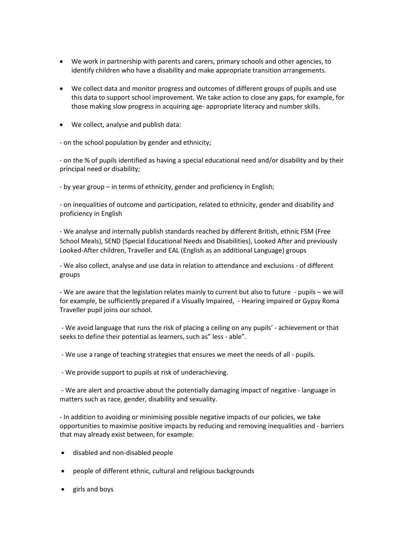- We work in partnership with parents and carers, primary schools and other agencies, to identify children who have a disability and make appropriate transition arrangements.
- We collect data and monitor progress and outcomes of different groups of pupils and use this data to support school improvement. We take action to close any gaps, for example, for those making slow progress in acquiring age- appropriate literacy and number skills.
- We collect, analyse and publish data:

- on the school population by gender and ethnicity;

- on the % of pupils identified as having a special educational need and/or disability and by their principal need or disability;

- by year group – in terms of ethnicity, gender and proficiency in English;

- on inequalities of outcome and participation, related to ethnicity, gender and disability and proficiency in English

- We analyse and internally publish standards reached by different British, ethnic FSM (Free School Meals), SEND (Special Educational Needs and Disabilities), Looked After and previously Looked-After children, Traveller and EAL (English as an additional Language) groups

- We also collect, analyse and use data in relation to attendance and exclusions - of different groups

- We are aware that the legislation relates mainly to current but also to future - pupils – we will for example, be sufficiently prepared if a Visually Impaired, - Hearing impaired or Gypsy Roma Traveller pupil joins our school.

- We avoid language that runs the risk of placing a ceiling on any pupils' - achievement or that seeks to define their potential as learners, such as" less - able".

- We use a range of teaching strategies that ensures we meet the needs of all pupils.
- We provide support to pupils at risk of underachieving.

- We are alert and proactive about the potentially damaging impact of negative - language in matters such as race, gender, disability and sexuality.

- In addition to avoiding or minimising possible negative impacts of our policies, we take opportunities to maximise positive impacts by reducing and removing inequalities and - barriers that may already exist between, for example:

- disabled and non-disabled people
- people of different ethnic, cultural and religious backgrounds
- girls and boys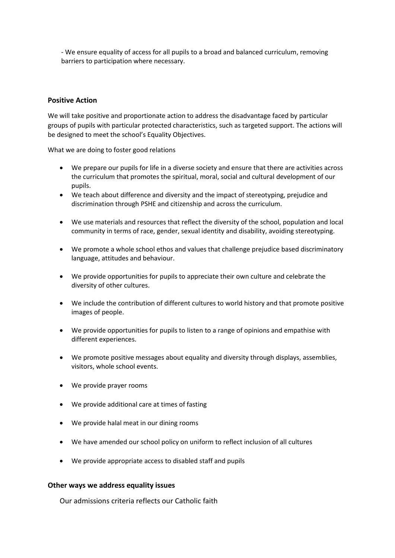- We ensure equality of access for all pupils to a broad and balanced curriculum, removing barriers to participation where necessary.

## **Positive Action**

We will take positive and proportionate action to address the disadvantage faced by particular groups of pupils with particular protected characteristics, such as targeted support. The actions will be designed to meet the school's Equality Objectives.

What we are doing to foster good relations

- We prepare our pupils for life in a diverse society and ensure that there are activities across the curriculum that promotes the spiritual, moral, social and cultural development of our pupils.
- We teach about difference and diversity and the impact of stereotyping, prejudice and discrimination through PSHE and citizenship and across the curriculum.
- We use materials and resources that reflect the diversity of the school, population and local community in terms of race, gender, sexual identity and disability, avoiding stereotyping.
- We promote a whole school ethos and values that challenge prejudice based discriminatory language, attitudes and behaviour.
- We provide opportunities for pupils to appreciate their own culture and celebrate the diversity of other cultures.
- We include the contribution of different cultures to world history and that promote positive images of people.
- We provide opportunities for pupils to listen to a range of opinions and empathise with different experiences.
- We promote positive messages about equality and diversity through displays, assemblies, visitors, whole school events.
- We provide prayer rooms
- We provide additional care at times of fasting
- We provide halal meat in our dining rooms
- We have amended our school policy on uniform to reflect inclusion of all cultures
- We provide appropriate access to disabled staff and pupils

#### **Other ways we address equality issues**

Our admissions criteria reflects our Catholic faith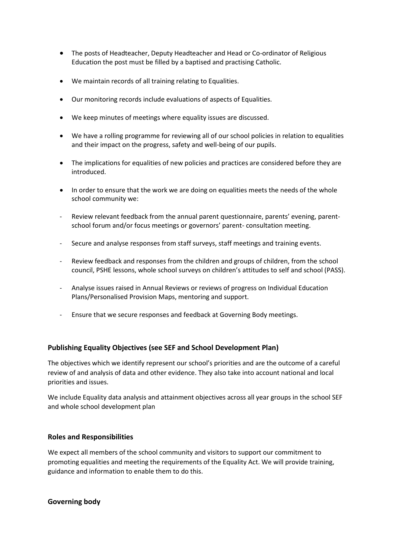- The posts of Headteacher, Deputy Headteacher and Head or Co-ordinator of Religious Education the post must be filled by a baptised and practising Catholic.
- We maintain records of all training relating to Equalities.
- Our monitoring records include evaluations of aspects of Equalities.
- We keep minutes of meetings where equality issues are discussed.
- We have a rolling programme for reviewing all of our school policies in relation to equalities and their impact on the progress, safety and well-being of our pupils.
- The implications for equalities of new policies and practices are considered before they are introduced.
- In order to ensure that the work we are doing on equalities meets the needs of the whole school community we:
- Review relevant feedback from the annual parent questionnaire, parents' evening, parentschool forum and/or focus meetings or governors' parent- consultation meeting.
- Secure and analyse responses from staff surveys, staff meetings and training events.
- Review feedback and responses from the children and groups of children, from the school council, PSHE lessons, whole school surveys on children's attitudes to self and school (PASS).
- Analyse issues raised in Annual Reviews or reviews of progress on Individual Education Plans/Personalised Provision Maps, mentoring and support.
- Ensure that we secure responses and feedback at Governing Body meetings.

## **Publishing Equality Objectives (see SEF and School Development Plan)**

The objectives which we identify represent our school's priorities and are the outcome of a careful review of and analysis of data and other evidence. They also take into account national and local priorities and issues.

We include Equality data analysis and attainment objectives across all year groups in the school SEF and whole school development plan

## **Roles and Responsibilities**

We expect all members of the school community and visitors to support our commitment to promoting equalities and meeting the requirements of the Equality Act. We will provide training, guidance and information to enable them to do this.

## **Governing body**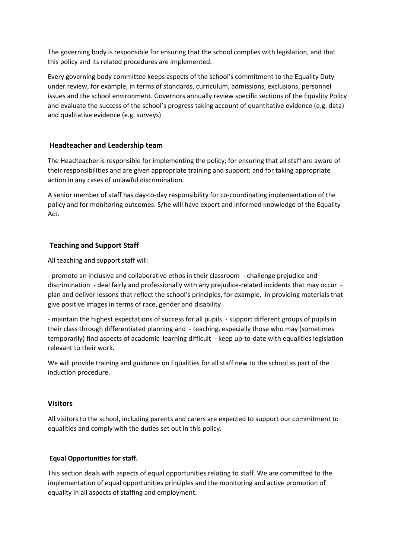The governing body is responsible for ensuring that the school complies with legislation, and that this policy and its related procedures are implemented.

Every governing body committee keeps aspects of the school's commitment to the Equality Duty under review, for example, in terms of standards, curriculum, admissions, exclusions, personnel issues and the school environment. Governors annually review specific sections of the Equality Policy and evaluate the success of the school's progress taking account of quantitative evidence (e.g. data) and qualitative evidence (e.g. surveys)

## **Headteacher and Leadership team**

The Headteacher is responsible for implementing the policy; for ensuring that all staff are aware of their responsibilities and are given appropriate training and support; and for taking appropriate action in any cases of unlawful discrimination.

A senior member of staff has day-to-day responsibility for co-coordinating implementation of the policy and for monitoring outcomes. S/he will have expert and informed knowledge of the Equality Act.

## **Teaching and Support Staff**

All teaching and support staff will:

- promote an inclusive and collaborative ethos in their classroom - challenge prejudice and discrimination - deal fairly and professionally with any prejudice-related incidents that may occur plan and deliver lessons that reflect the school's principles, for example, in providing materials that give positive images in terms of race, gender and disability

- maintain the highest expectations of success for all pupils - support different groups of pupils in their class through differentiated planning and - teaching, especially those who may (sometimes temporarily) find aspects of academic learning difficult - keep up-to-date with equalities legislation relevant to their work.

We will provide training and guidance on Equalities for all staff new to the school as part of the induction procedure.

## **Visitors**

All visitors to the school, including parents and carers are expected to support our commitment to equalities and comply with the duties set out in this policy.

## **Equal Opportunities for staff.**

This section deals with aspects of equal opportunities relating to staff. We are committed to the implementation of equal opportunities principles and the monitoring and active promotion of equality in all aspects of staffing and employment.